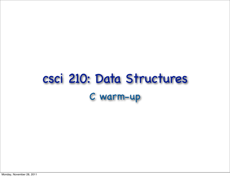# csci 210: Data Structures C warm-up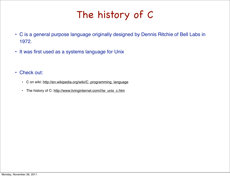# The history of C

- C is a general purpose language originally designed by Dennis Ritchie of Bell Labs in 1972.
- It was first used as a systems language for Unix
- Check out:
	- C on wiki: [http://en.wikipedia.org/wiki/C\\_programming\\_language](http://en.wikipedia.org/wiki/C_programming_language)
	- The history of C: [http://www.livinginternet.com/i/iw\\_unix\\_c.htm](http://www.livinginternet.com/i/iw_unix_c.htm)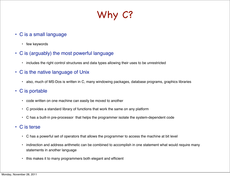# Why C?

- C is a small language
	- few keywords
- C is (arguably) the most powerful language
	- includes the right control structures and data types allowing their uses to be unrestricted
- C is the native language of Unix
	- also, much of MS-Dos is written in C, many windowing packages, database programs, graphics libraries
- C is portable
	- code written on one machine can easily be moved to another
	- C provides a standard library of functions that work the same on any platform
	- C has a built-in pre-processor that helps the programmer isolate the system-dependent code
- C is terse
	- C has a powerful set of operators that allows the programmer to access the machine at bit level
	- indirection and address arithmetic can be combined to accomplish in one statement what would require many statements in another language
	- this makes it to many programmers both elegant and efficient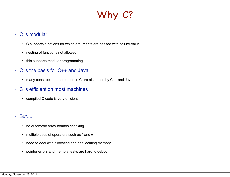# Why C?

### • C is modular

- C supports functions for which arguments are passed with call-by-value
- nesting of functions not allowed
- this supports modular programming
- C is the basis for C++ and Java
	- many constructs that are used in C are also used by C++ and Java
- C is efficient on most machines
	- compiled C code is very efficient
- But....
	- no automatic array bounds checking
	- $\cdot$  multiple uses of operators such as  $*$  and  $=$
	- need to deal with allocating and deallocating memory
	- pointer errors and memory leaks are hard to debug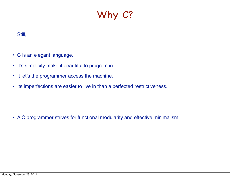# Why C?

### Still,

- C is an elegant language.
- It's simplicity make it beautiful to program in.
- It let's the programmer access the machine.
- Its imperfections are easier to live in than a perfected restrictiveness.

• A C programmer strives for functional modularity and effective minimalism.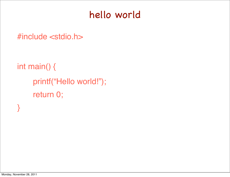### hello world

#include <stdio.h>

int main() { printf("Hello world!"); return 0;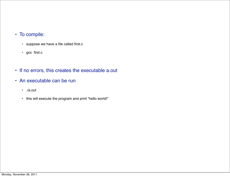#### • To compile:

- suppose we have a file called first.c
- gcc first.c
- If no errors, this creates the executable a.out
- An executable can be run
	- ./a.out
	- this will execute the program and print "hello world!"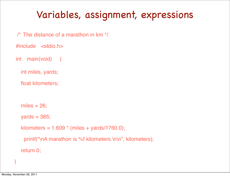# Variables, assignment, expressions

- /\* The distance of a marathon in km \*/
- #include <stdio.h>
- int main(void) {
	- int miles, yards;
	- float kilometers;
	- miles  $= 26$ ;
	- $yards = 385;$

```
kilometers = 1.609 * (miles + yards/1760.0);
```

```
printf("\nA marathon is %f kilometers.\n\n", kilometers);
```
return 0;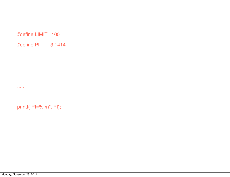#### #define LIMIT 100

#define PI 3.1414

### printf("PI=%f\n", PI);

.....

Monday, November 28, 2011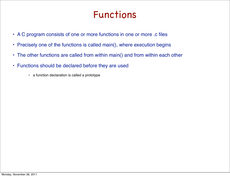### Functions

- A C program consists of one or more functions in one or more .c files
- Precisely one of the functions is called main(), where execution begins
- The other functions are called from within main() and from within each other
- Functions should be declared before they are used
	- a function declaration is called a prototype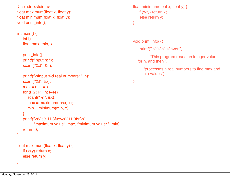```
#include <stdio.h>
float maximum(float x, float y);
float minimum(float x, float y);
void print_info();
int main() {
    int i,n;
    float max, min, x;
    print_info();
   printf("Input n: ");
    scanf("%d", &n);
    printf("\nInput %d real numbers: ", n);
    scanf("%f", &x);
   max = min = x;for (i=2; i<=n; i++) {
       scanf("%f", &x);
      max = maximum(max, x);min = minimum(min, x); }
    printf("\n%s%11.3f\n%s%11.3f\n\n", 
           "maximum value", max, "minimum value: ", min);
    return 0;
}
float maximum(float x, float y) {
    if (x>y) return x; 
    else return y;
}
```

```
float minimum(float x, float y) \{if (x < y) return x;
     else return y;
}
```

```
void print_info() {
```
}

printf("\n%s\n%s\n\n\n",

 "This program reads an integer value for n, and then ",

 "processes n real numbers to find max and min values");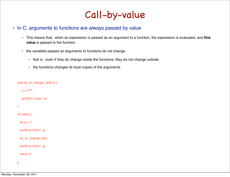

#### • In C, arguments to functions are always passed by value

- This means that, when an expression is passed as an argument to a function, the expression is evaluated, and **this value** is passed to the function
- the variables passed as arguments to functions do not change
	- that is, even if they do change inside the functions, they do not change outside
	- the functions changes its local copies of the arguments

```
void try_to_change_it(int x) {
   x = 777;
   printf("x=%d\n", x);
}
int main() {
  int a = 1;
   printf("a=%d\n", a);
   try_to_change_it(a); 
  printf("a = %d \n\pi", a);
   return 0;
```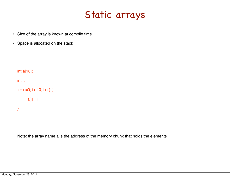### Static arrays

- Size of the array is known at compile time
- Space is allocated on the stack

```
int a[10]; 
int i;
```

```
for (i=0; i< 10; i++) {
```

```
a[i] = i;
```
}

Note: the array name a is the address of the memory chunk that holds the elements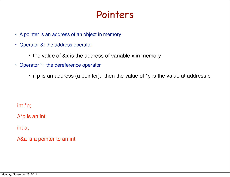### Pointers

- A pointer is an address of an object in memory
- Operator &: the address operator
	- the value of &x is the address of variable x in memory
- Operator \*: the dereference operator
	- if p is an address (a pointer), then the value of \*p is the value at address p

int \*p;

//\*p is an int

int a;

//&a is a pointer to an int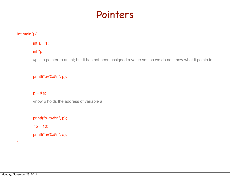### Pointers

#### int main() {

#### int  $a = 1$ ;

#### int \*p;

//p is a pointer to an int; but it has not been assigned a value yet, so we do not know what it points to

#### printf("p=%d\n", p);

#### $p = 8a$ ;

//now p holds the address of variable a

```
printf("p=%d\n", p);
*p = 10;printf("a=%d\n", a);
```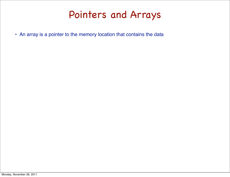### Pointers and Arrays

• An array is a pointer to the memory location that contains the data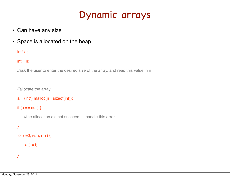### Dynamic arrays

- Can have any size
- Space is allocated on the heap

int\* a;

int i, n;

//ask the user to enter the desired size of the array, and read this value in n

......

//allocate the array

```
a = (int<sup>*</sup>) malloc(n * sizeof(int));
```
if  $(a == null)$  {

//the allocation dis not succeed --- handle this error

```
}
```

```
for (i=0; i < n; i++) {
```

```
a[i] = i;
```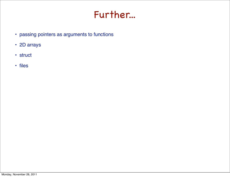### Further...

- passing pointers as arguments to functions
- 2D arrays
- struct
- files